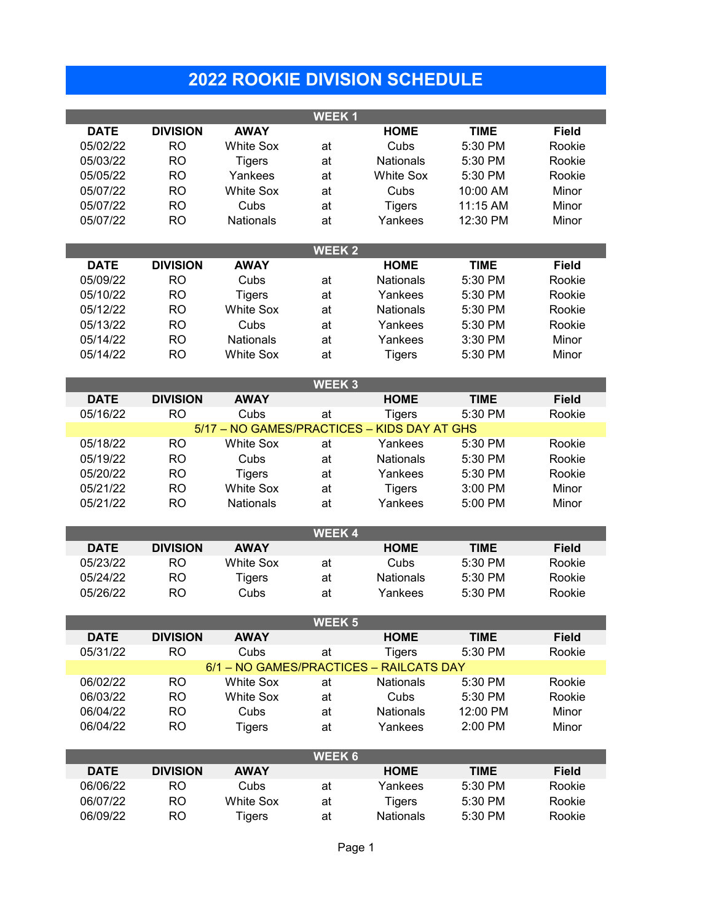## **2022 ROOKIE DIVISION SCHEDULE**

**WEEK 1**

| <b>DATE</b>  | <b>DIVISION</b>                                                                                                      | <b>AWAY</b>      |                   | <b>HOME</b>                                 | <b>TIME</b> | <b>Field</b> |  |  |  |  |  |  |
|--------------|----------------------------------------------------------------------------------------------------------------------|------------------|-------------------|---------------------------------------------|-------------|--------------|--|--|--|--|--|--|
| 05/02/22     | <b>RO</b>                                                                                                            | <b>White Sox</b> | at                | Cubs                                        | 5:30 PM     | Rookie       |  |  |  |  |  |  |
| 05/03/22     | <b>RO</b>                                                                                                            | <b>Tigers</b>    | at                | Nationals                                   | 5:30 PM     | Rookie       |  |  |  |  |  |  |
| 05/05/22     | <b>RO</b>                                                                                                            | Yankees          | at                | <b>White Sox</b>                            | 5:30 PM     | Rookie       |  |  |  |  |  |  |
| 05/07/22     | <b>RO</b>                                                                                                            | <b>White Sox</b> | at                | Cubs                                        | 10:00 AM    | Minor        |  |  |  |  |  |  |
| 05/07/22     | <b>RO</b>                                                                                                            | Cubs             | at                | <b>Tigers</b>                               | 11:15 AM    | Minor        |  |  |  |  |  |  |
| 05/07/22     | <b>RO</b>                                                                                                            | Nationals        | at                | Yankees                                     | 12:30 PM    | Minor        |  |  |  |  |  |  |
| <b>WEEK2</b> |                                                                                                                      |                  |                   |                                             |             |              |  |  |  |  |  |  |
| <b>DATE</b>  | <b>DIVISION</b>                                                                                                      | <b>AWAY</b>      |                   | <b>HOME</b>                                 | <b>TIME</b> | <b>Field</b> |  |  |  |  |  |  |
| 05/09/22     | <b>RO</b>                                                                                                            | Cubs             | at                | Nationals                                   | 5:30 PM     | Rookie       |  |  |  |  |  |  |
| 05/10/22     | <b>RO</b>                                                                                                            | <b>Tigers</b>    | at                | Yankees                                     | 5:30 PM     | Rookie       |  |  |  |  |  |  |
| 05/12/22     | <b>RO</b>                                                                                                            | <b>White Sox</b> | at                | Nationals                                   | 5:30 PM     | Rookie       |  |  |  |  |  |  |
| 05/13/22     | <b>RO</b>                                                                                                            | Cubs             | at                | Yankees                                     | 5:30 PM     | Rookie       |  |  |  |  |  |  |
| 05/14/22     | <b>RO</b>                                                                                                            | Nationals        | at                | Yankees                                     | 3:30 PM     | Minor        |  |  |  |  |  |  |
| 05/14/22     | <b>RO</b>                                                                                                            | <b>White Sox</b> | at                | <b>Tigers</b>                               | 5:30 PM     | Minor        |  |  |  |  |  |  |
|              |                                                                                                                      |                  | WEEK <sub>3</sub> |                                             |             |              |  |  |  |  |  |  |
| <b>DATE</b>  | <b>DIVISION</b>                                                                                                      | <b>AWAY</b>      |                   | <b>HOME</b>                                 | <b>TIME</b> | <b>Field</b> |  |  |  |  |  |  |
| 05/16/22     | <b>RO</b>                                                                                                            | Cubs             | at                | <b>Tigers</b>                               | 5:30 PM     | Rookie       |  |  |  |  |  |  |
|              |                                                                                                                      |                  |                   | 5/17 - NO GAMES/PRACTICES - KIDS DAY AT GHS |             |              |  |  |  |  |  |  |
| 05/18/22     | <b>RO</b>                                                                                                            | <b>White Sox</b> | at                | Yankees                                     | 5:30 PM     | Rookie       |  |  |  |  |  |  |
| 05/19/22     | <b>RO</b>                                                                                                            | Cubs             | at                | <b>Nationals</b>                            | 5:30 PM     | Rookie       |  |  |  |  |  |  |
| 05/20/22     | <b>RO</b>                                                                                                            | <b>Tigers</b>    | at                | Yankees                                     | 5:30 PM     | Rookie       |  |  |  |  |  |  |
| 05/21/22     | <b>RO</b>                                                                                                            | <b>White Sox</b> | at                | <b>Tigers</b>                               | 3:00 PM     | Minor        |  |  |  |  |  |  |
| 05/21/22     | <b>RO</b>                                                                                                            | Nationals        | at                | Yankees                                     | 5:00 PM     | Minor        |  |  |  |  |  |  |
|              |                                                                                                                      |                  | <b>WEEK4</b>      |                                             |             |              |  |  |  |  |  |  |
| <b>DATE</b>  | <b>DIVISION</b>                                                                                                      | <b>AWAY</b>      |                   | <b>HOME</b>                                 | <b>TIME</b> | <b>Field</b> |  |  |  |  |  |  |
| 05/23/22     | <b>RO</b>                                                                                                            | <b>White Sox</b> | at                | Cubs                                        | 5:30 PM     | Rookie       |  |  |  |  |  |  |
| 05/24/22     | <b>RO</b>                                                                                                            | <b>Tigers</b>    | at                | Nationals                                   | 5:30 PM     | Rookie       |  |  |  |  |  |  |
| 05/26/22     | <b>RO</b>                                                                                                            | Cubs             | at                | Yankees                                     | 5:30 PM     | Rookie       |  |  |  |  |  |  |
|              |                                                                                                                      |                  |                   |                                             |             |              |  |  |  |  |  |  |
|              |                                                                                                                      |                  | <b>WEEK 5</b>     |                                             |             |              |  |  |  |  |  |  |
| <b>DATE</b>  | <b>DIVISION</b>                                                                                                      | <b>AWAY</b>      |                   | <b>HOME</b>                                 | <b>TIME</b> | <b>Field</b> |  |  |  |  |  |  |
|              | Rookie<br>05/31/22<br><b>RO</b><br>Cubs<br><b>Tigers</b><br>5:30 PM<br>at<br>6/1 - NO GAMES/PRACTICES - RAILCATS DAY |                  |                   |                                             |             |              |  |  |  |  |  |  |
| 06/02/22     | <b>RO</b>                                                                                                            | <b>White Sox</b> | at                | Nationals                                   | 5:30 PM     | Rookie       |  |  |  |  |  |  |
| 06/03/22     | <b>RO</b>                                                                                                            | <b>White Sox</b> | at                | Cubs                                        | 5:30 PM     | Rookie       |  |  |  |  |  |  |
| 06/04/22     | <b>RO</b>                                                                                                            | Cubs             | at                | Nationals                                   | 12:00 PM    | Minor        |  |  |  |  |  |  |
| 06/04/22     | <b>RO</b>                                                                                                            | <b>Tigers</b>    | at                | Yankees                                     | 2:00 PM     | Minor        |  |  |  |  |  |  |
|              |                                                                                                                      |                  |                   |                                             |             |              |  |  |  |  |  |  |
| <b>WEEK6</b> |                                                                                                                      |                  |                   |                                             |             |              |  |  |  |  |  |  |
| <b>DATE</b>  | <b>DIVISION</b>                                                                                                      | <b>AWAY</b>      |                   | <b>HOME</b>                                 | <b>TIME</b> | <b>Field</b> |  |  |  |  |  |  |
| 06/06/22     | <b>RO</b>                                                                                                            | Cubs             | at                | Yankees                                     | 5:30 PM     | Rookie       |  |  |  |  |  |  |
| 06/07/22     | <b>RO</b>                                                                                                            | <b>White Sox</b> | at                | <b>Tigers</b>                               | 5:30 PM     | Rookie       |  |  |  |  |  |  |
| 06/09/22     | <b>RO</b>                                                                                                            | <b>Tigers</b>    | at                | <b>Nationals</b>                            | 5:30 PM     | Rookie       |  |  |  |  |  |  |
|              |                                                                                                                      |                  |                   |                                             |             |              |  |  |  |  |  |  |